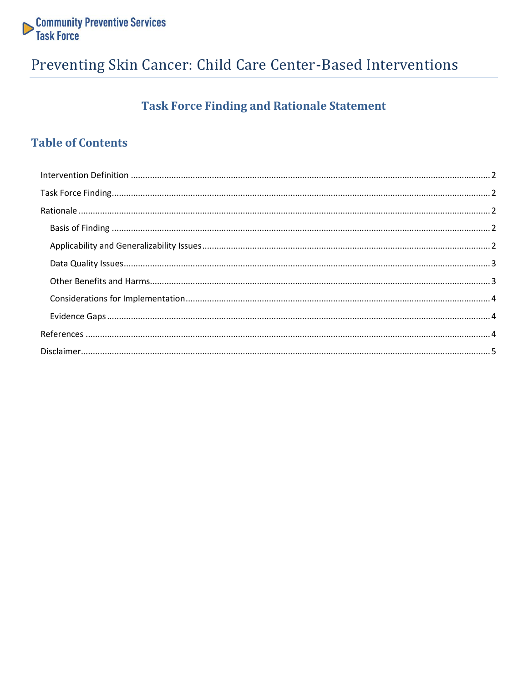

## Preventing Skin Cancer: Child Care Center-Based Interventions

### **Task Force Finding and Rationale Statement**

### **Table of Contents**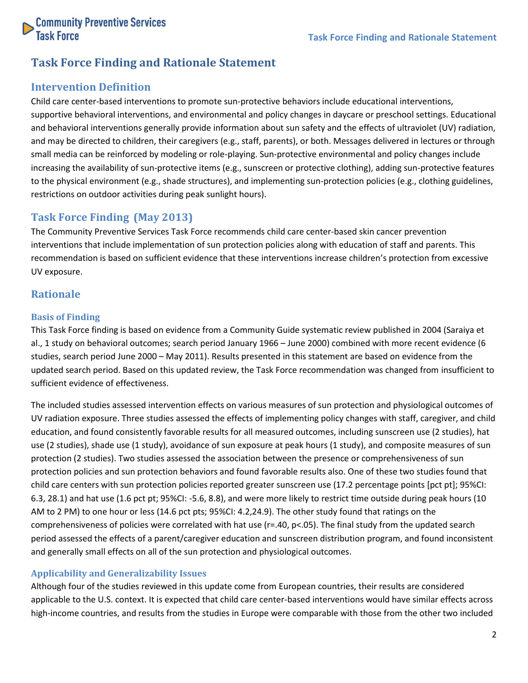

### **Task Force Finding and Rationale Statement**

#### <span id="page-1-0"></span>**Intervention Definition**

Child care center-based interventions to promote sun-protective behaviors include educational interventions, supportive behavioral interventions, and environmental and policy changes in daycare or preschool settings. Educational and behavioral interventions generally provide information about sun safety and the effects of ultraviolet (UV) radiation, and may be directed to children, their caregivers (e.g., staff, parents), or both. Messages delivered in lectures or through small media can be reinforced by modeling or role-playing. Sun-protective environmental and policy changes include increasing the availability of sun-protective items (e.g., sunscreen or protective clothing), adding sun-protective features to the physical environment (e.g., shade structures), and implementing sun-protection policies (e.g., clothing guidelines, restrictions on outdoor activities during peak sunlight hours).

#### <span id="page-1-1"></span>**Task Force Finding (May 2013)**

The Community Preventive Services Task Force recommends child care center-based skin cancer prevention interventions that include implementation of sun protection policies along with education of staff and parents. This recommendation is based on sufficient evidence that these interventions increase children's protection from excessive UV exposure.

#### <span id="page-1-2"></span>**Rationale**

#### <span id="page-1-3"></span>**Basis of Finding**

This Task Force finding is based on evidence from a Community Guide systematic review published in 2004 (Saraiya et al., 1 study on behavioral outcomes; search period January 1966 – June 2000) combined with more recent evidence (6 studies, search period June 2000 – May 2011). Results presented in this statement are based on evidence from the updated search period. Based on this updated review, the Task Force recommendation was changed from insufficient to sufficient evidence of effectiveness.

The included studies assessed intervention effects on various measures of sun protection and physiological outcomes of UV radiation exposure. Three studies assessed the effects of implementing policy changes with staff, caregiver, and child education, and found consistently favorable results for all measured outcomes, including sunscreen use (2 studies), hat use (2 studies), shade use (1 study), avoidance of sun exposure at peak hours (1 study), and composite measures of sun protection (2 studies). Two studies assessed the association between the presence or comprehensiveness of sun protection policies and sun protection behaviors and found favorable results also. One of these two studies found that child care centers with sun protection policies reported greater sunscreen use (17.2 percentage points [pct pt]; 95%CI: 6.3, 28.1) and hat use (1.6 pct pt; 95%CI: -5.6, 8.8), and were more likely to restrict time outside during peak hours (10 AM to 2 PM) to one hour or less (14.6 pct pts; 95%CI: 4.2,24.9). The other study found that ratings on the comprehensiveness of policies were correlated with hat use (r=.40, p<.05). The final study from the updated search period assessed the effects of a parent/caregiver education and sunscreen distribution program, and found inconsistent and generally small effects on all of the sun protection and physiological outcomes.

#### <span id="page-1-4"></span>**Applicability and Generalizability Issues**

Although four of the studies reviewed in this update come from European countries, their results are considered applicable to the U.S. context. It is expected that child care center-based interventions would have similar effects across high-income countries, and results from the studies in Europe were comparable with those from the other two included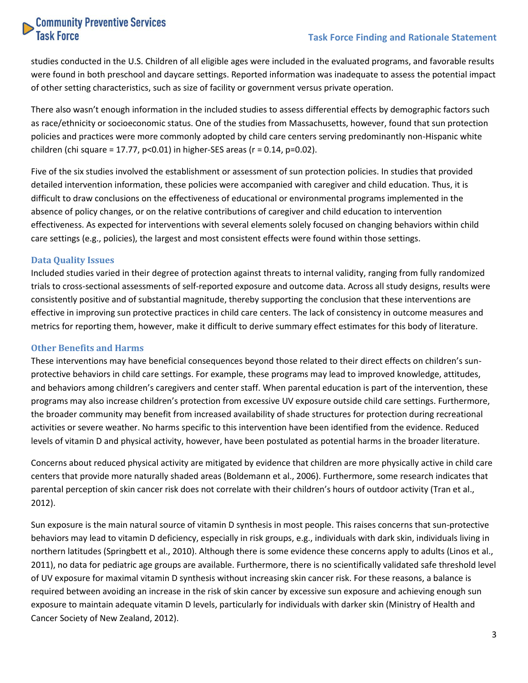## **Community Preventive Services**<br>Task Force

#### **Task Force Finding and Rationale Statement**

studies conducted in the U.S. Children of all eligible ages were included in the evaluated programs, and favorable results were found in both preschool and daycare settings. Reported information was inadequate to assess the potential impact of other setting characteristics, such as size of facility or government versus private operation.

There also wasn't enough information in the included studies to assess differential effects by demographic factors such as race/ethnicity or socioeconomic status. One of the studies from Massachusetts, however, found that sun protection policies and practices were more commonly adopted by child care centers serving predominantly non-Hispanic white children (chi square = 17.77,  $p<0.01$ ) in higher-SES areas ( $r = 0.14$ ,  $p=0.02$ ).

Five of the six studies involved the establishment or assessment of sun protection policies. In studies that provided detailed intervention information, these policies were accompanied with caregiver and child education. Thus, it is difficult to draw conclusions on the effectiveness of educational or environmental programs implemented in the absence of policy changes, or on the relative contributions of caregiver and child education to intervention effectiveness. As expected for interventions with several elements solely focused on changing behaviors within child care settings (e.g., policies), the largest and most consistent effects were found within those settings.

#### <span id="page-2-0"></span>**Data Quality Issues**

Included studies varied in their degree of protection against threats to internal validity, ranging from fully randomized trials to cross-sectional assessments of self-reported exposure and outcome data. Across all study designs, results were consistently positive and of substantial magnitude, thereby supporting the conclusion that these interventions are effective in improving sun protective practices in child care centers. The lack of consistency in outcome measures and metrics for reporting them, however, make it difficult to derive summary effect estimates for this body of literature.

#### <span id="page-2-1"></span>**Other Benefits and Harms**

These interventions may have beneficial consequences beyond those related to their direct effects on children's sunprotective behaviors in child care settings. For example, these programs may lead to improved knowledge, attitudes, and behaviors among children's caregivers and center staff. When parental education is part of the intervention, these programs may also increase children's protection from excessive UV exposure outside child care settings. Furthermore, the broader community may benefit from increased availability of shade structures for protection during recreational activities or severe weather. No harms specific to this intervention have been identified from the evidence. Reduced levels of vitamin D and physical activity, however, have been postulated as potential harms in the broader literature.

Concerns about reduced physical activity are mitigated by evidence that children are more physically active in child care centers that provide more naturally shaded areas (Boldemann et al., 2006). Furthermore, some research indicates that parental perception of skin cancer risk does not correlate with their children's hours of outdoor activity (Tran et al., 2012).

Sun exposure is the main natural source of vitamin D synthesis in most people. This raises concerns that sun-protective behaviors may lead to vitamin D deficiency, especially in risk groups, e.g., individuals with dark skin, individuals living in northern latitudes (Springbett et al., 2010). Although there is some evidence these concerns apply to adults (Linos et al., 2011), no data for pediatric age groups are available. Furthermore, there is no scientifically validated safe threshold level of UV exposure for maximal vitamin D synthesis without increasing skin cancer risk. For these reasons, a balance is required between avoiding an increase in the risk of skin cancer by excessive sun exposure and achieving enough sun exposure to maintain adequate vitamin D levels, particularly for individuals with darker skin (Ministry of Health and Cancer Society of New Zealand, 2012).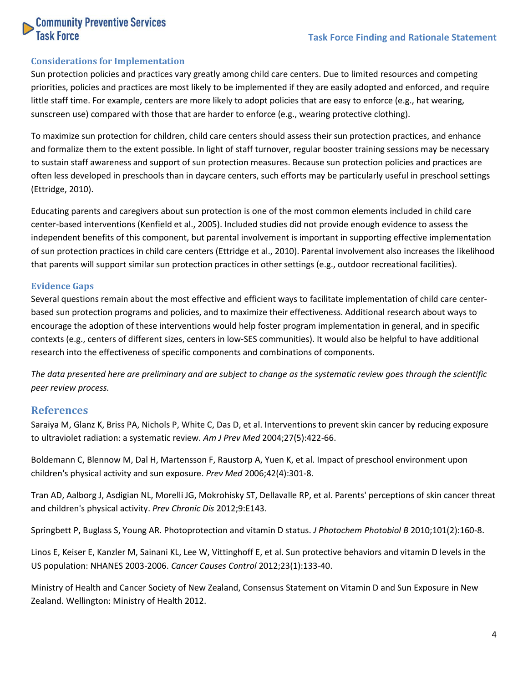## **Community Preventive Services**<br>Task Force

#### <span id="page-3-0"></span>**Considerations for Implementation**

Sun protection policies and practices vary greatly among child care centers. Due to limited resources and competing priorities, policies and practices are most likely to be implemented if they are easily adopted and enforced, and require little staff time. For example, centers are more likely to adopt policies that are easy to enforce (e.g., hat wearing, sunscreen use) compared with those that are harder to enforce (e.g., wearing protective clothing).

To maximize sun protection for children, child care centers should assess their sun protection practices, and enhance and formalize them to the extent possible. In light of staff turnover, regular booster training sessions may be necessary to sustain staff awareness and support of sun protection measures. Because sun protection policies and practices are often less developed in preschools than in daycare centers, such efforts may be particularly useful in preschool settings (Ettridge, 2010).

Educating parents and caregivers about sun protection is one of the most common elements included in child care center-based interventions (Kenfield et al., 2005). Included studies did not provide enough evidence to assess the independent benefits of this component, but parental involvement is important in supporting effective implementation of sun protection practices in child care centers (Ettridge et al., 2010). Parental involvement also increases the likelihood that parents will support similar sun protection practices in other settings (e.g., outdoor recreational facilities).

#### <span id="page-3-1"></span>**Evidence Gaps**

Several questions remain about the most effective and efficient ways to facilitate implementation of child care centerbased sun protection programs and policies, and to maximize their effectiveness. Additional research about ways to encourage the adoption of these interventions would help foster program implementation in general, and in specific contexts (e.g., centers of different sizes, centers in low-SES communities). It would also be helpful to have additional research into the effectiveness of specific components and combinations of components.

*The data presented here are preliminary and are subject to change as the systematic review goes through the scientific peer review process.*

#### <span id="page-3-2"></span>**References**

Saraiya M, Glanz K, Briss PA, Nichols P, White C, Das D, et al. Interventions to prevent skin cancer by reducing exposure to ultraviolet radiation: a systematic review. *Am J Prev Med* 2004;27(5):422-66.

Boldemann C, Blennow M, Dal H, Martensson F, Raustorp A, Yuen K, et al. Impact of preschool environment upon children's physical activity and sun exposure. *Prev Med* 2006;42(4):301-8.

Tran AD, Aalborg J, Asdigian NL, Morelli JG, Mokrohisky ST, Dellavalle RP, et al. Parents' perceptions of skin cancer threat and children's physical activity. *Prev Chronic Dis* 2012;9:E143.

Springbett P, Buglass S, Young AR. Photoprotection and vitamin D status. *J Photochem Photobiol B* 2010;101(2):160-8.

Linos E, Keiser E, Kanzler M, Sainani KL, Lee W, Vittinghoff E, et al. Sun protective behaviors and vitamin D levels in the US population: NHANES 2003-2006. *Cancer Causes Control* 2012;23(1):133-40.

Ministry of Health and Cancer Society of New Zealand, Consensus Statement on Vitamin D and Sun Exposure in New Zealand. Wellington: Ministry of Health 2012.